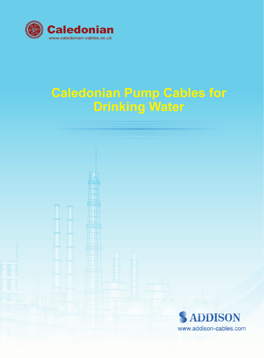

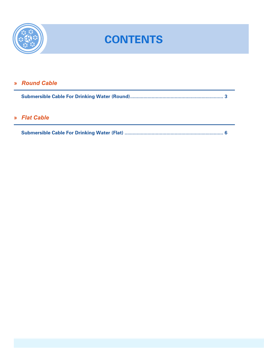

## **CONTENTS**

### » Round Cable

### » Flat Cable

|--|--|--|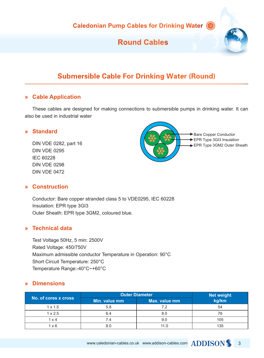### **Round Cables**

### Submersible Cable For Drinking Water (Round)

#### **» Cable Application**

These cables are designed for making connections to submersible pumps in drinking water. It can also be used in industrial water

#### **» Standard**

DIN VDE 0282, part 16 DIN VDE 0295 IEC 60228 DIN VDE 0298 DIN VDE 0472



#### **» Construction**

Conductor: Bare copper stranded class 5 to VDE0295, IEC 60228 Insulation: EPR type 3GI3 Outer Sheath: EPR type 3GM2, coloured blue.

#### **» Technical data**

Test Voltage 50Hz, 5 min: 2500V Rated Voltage: 450/750V Maximum admissible conductor Temperature in Operation: 90°C Short Circuit Temperature: 250°C Temperature Range:-40°C~+60°C

#### **» Dimensions**

| No. of cores x cross | <b>Outer Diameter</b> |               | <b>Net weight</b> |
|----------------------|-----------------------|---------------|-------------------|
|                      | Min. value mm         | Max. value mm | kg/km             |
| $1 \times 1.5$       | 5.8                   | 7.2           | 54                |
| $1 \times 2.5$       | 6.4                   | 8.0           | 76                |
| 1 x 4                | 7.4                   | 9.0           | 105               |
| $1 \times 6$         | 8.0                   | 11.0          | 135               |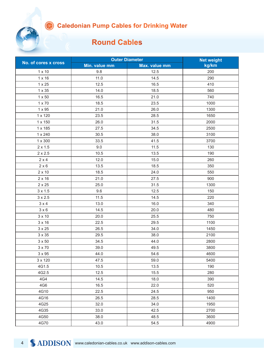### **Round Cables**

|                      | <b>Outer Diameter</b> |               | <b>Net weight</b> |
|----------------------|-----------------------|---------------|-------------------|
| No. of cores x cross | Min. value mm         | Max. value mm | kg/km             |
| $1 \times 10$        | 9.8                   | 12.5          | 200               |
| $1 \times 16$        | 11.0                  | 14.5          | 290               |
| $1 \times 25$        | 12.5                  | 16.5          | 410               |
| 1 x 35               | 14.0                  | 18.5          | 560               |
| $1 \times 50$        | 16.5                  | 21.0          | 740               |
| $1 \times 70$        | 18.5                  | 23.5          | 1000              |
| 1 x 95               | 21.0                  | 26.0          | 1300              |
| 1 x 120              | 23.5                  | 28.5          | 1650              |
| 1 x 150              | 26.0                  | 31.5          | 2000              |
| 1 x 185              | 27.5                  | 34.5          | 2500              |
| 1 x 240              | 30.5                  | 38.0          | 3100              |
| 1 x 300              | 33.5                  | 41.5          | 3700              |
| $2 \times 1.5$       | 9.0                   | 11.5          | 130               |
| $2 \times 2.5$       | 10.5                  | 13.5          | 190               |
| $2 \times 4$         | 12.0                  | 15.0          | 260               |
| $2 \times 6$         | 13.5                  | 18.5          | 350               |
| $2 \times 10$        | 18.5                  | 24.0          | 550               |
| $2 \times 16$        | 21.0                  | 27.5          | 900               |
| $2 \times 25$        | 25.0                  | 31.5          | 1300              |
| $3 \times 1.5$       | 9.6                   | 12.5          | 150               |
| $3 \times 2.5$       | 11.5                  | 14.5          | 220               |
| $3 \times 4$         | 13.0                  | 16.0          | 340               |
| $3 \times 6$         | 14.5                  | 20.0          | 480               |
| $3 \times 10$        | 20.0                  | 25.5          | 750               |
| $3 \times 16$        | 22.5                  | 29.5          | 1100              |
| $3 \times 25$        | 26.5                  | 34.0          | 1450              |
| $3 \times 35$        | 29.5                  | 38.0          | 2100              |
| $3 \times 50$        | 34.5                  | 44.0          | 2800              |
| $3 \times 70$        | 39.0                  | 49.5          | 3800              |
| $3 \times 95$        | 44.0                  | 54.6          | 4600              |
| 3 x 120              | 47.5                  | 59.0          | 5400              |
| 4G1.5                | 10.5                  | 13.5          | 190               |
| 4G2.5                | 12.5                  | 15.5          | 280               |
| 4G4                  | 14.5                  | 18.0          | 390               |
| 4G6                  | 16.5                  | 22.0          | 520               |
| 4G10                 | 22.5                  | 24.5          | 950               |
| 4G16                 | 26.5                  | 28.5          | 1400              |
| 4G25                 | 32.0                  | 34.0          | 1950              |
| 4G35                 | 33.0                  | 42.5          | 2700              |
| 4G50                 | 38.0                  | 48.5          | 3600              |
| 4G70                 | 43.0                  | 54.5          | 4900              |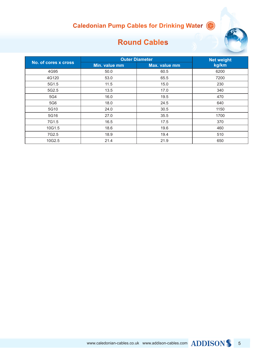

### **Round Cables**

|                      | <b>Outer Diameter</b> |               | <b>Net weight</b> |
|----------------------|-----------------------|---------------|-------------------|
| No. of cores x cross | Min. value mm         | Max. value mm | kg/km             |
| 4G95                 | 50.0                  | 60.5          | 6200              |
| 4G120                | 53.0                  | 65.5          | 7200              |
| 5G1.5                | 11.5                  | 15.0          | 230               |
| 5G2.5                | 13.5                  | 17.0          | 340               |
| 5G4                  | 16.0                  | 19.5          | 470               |
| 5G6                  | 18.0                  | 24.5          | 640               |
| 5G10                 | 24.0                  | 30.5          | 1150              |
| 5G16                 | 27.0                  | 35.5          | 1700              |
| 7G1.5                | 16.5                  | 17.5          | 370               |
| 10G1.5               | 18.6                  | 19.6          | 460               |
| 7G2.5                | 18.9                  | 19.4          | 510               |
| 10G2.5               | 21.4                  | 21.9          | 650               |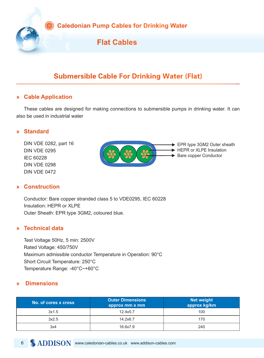

### Submersible Cable For Drinking Water (Flat)

#### **» Cable Application**

These cables are designed for making connections to submersible pumps in drinking water. It can also be used in industrial water

#### **» Standard**

DIN VDE 0282, part 16 DIN VDE 0295 IEC 60228 DIN VDE 0298 DIN VDE 0472

#### **» Construction**



Conductor: Bare copper stranded class 5 to VDE0295, IEC 60228 Insulation: HEPR or XLPE Outer Sheath: EPR type 3GM2, coloured blue.

#### **» Technical data**

Test Voltage 50Hz, 5 min: 2500V Rated Voltage: 450/750V Maximum admissible conductor Temperature in Operation: 90°C Short Circuit Temperature: 250°C Temperature Range: -40°C~+60°C

#### **» Dimensions**

| No. of cores x cross | <b>Outer Dimensions</b><br>approx mm x mm | <b>Net weight</b><br>approx kg/km |
|----------------------|-------------------------------------------|-----------------------------------|
| 3x1.5                | 12.4x5.7                                  | 100                               |
| 3x2.5                | 14.2x6.7                                  | 170                               |
| 3x4                  | 16.6x7.9                                  | 240                               |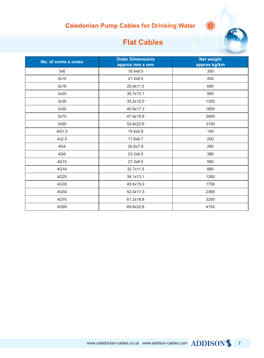

### **Flat Cables**

| No. of cores x cross | <b>Outer Dimensions</b><br>approx mm x mm | <b>Net weight</b><br>approx kg/km |
|----------------------|-------------------------------------------|-----------------------------------|
| 3x6                  | 18.4x8.5                                  | 300                               |
| 3x10                 | 21.4x9.5                                  | 450                               |
| 3x16                 | 25.9x11.5                                 | 680                               |
| 3x25                 | 30.7x13.1                                 | 950                               |
| 3x35                 | 35.2x15.0                                 | 1300                              |
| 3x50                 | 40.9x17.3                                 | 1800                              |
| 3x70                 | 47.9x19.8                                 | 2450                              |
| 3x95                 | 53.6x22.6                                 | 3150                              |
| 4G1.5                | 15.4x5.9                                  | 140                               |
| 4x2.5                | 17.6x6.7                                  | 200                               |
| 4G4                  | 20.6x7.9                                  | 290                               |
| 4G6                  | 23.3x8.5                                  | 380                               |
| 4G10                 | 27.3x9.5                                  | 580                               |
| 4G16                 | 32.7x11.5                                 | 880                               |
| 4G25                 | 39.1x13.1                                 | 1260                              |
| 4G35                 | 45.6x15.0                                 | 1700                              |
| 4G50                 | 52.0x17.3                                 | 2360                              |
| 4G70                 | 61.2x19.8                                 | 3250                              |
| 4G95                 | 69.6x22.6                                 | 4150                              |